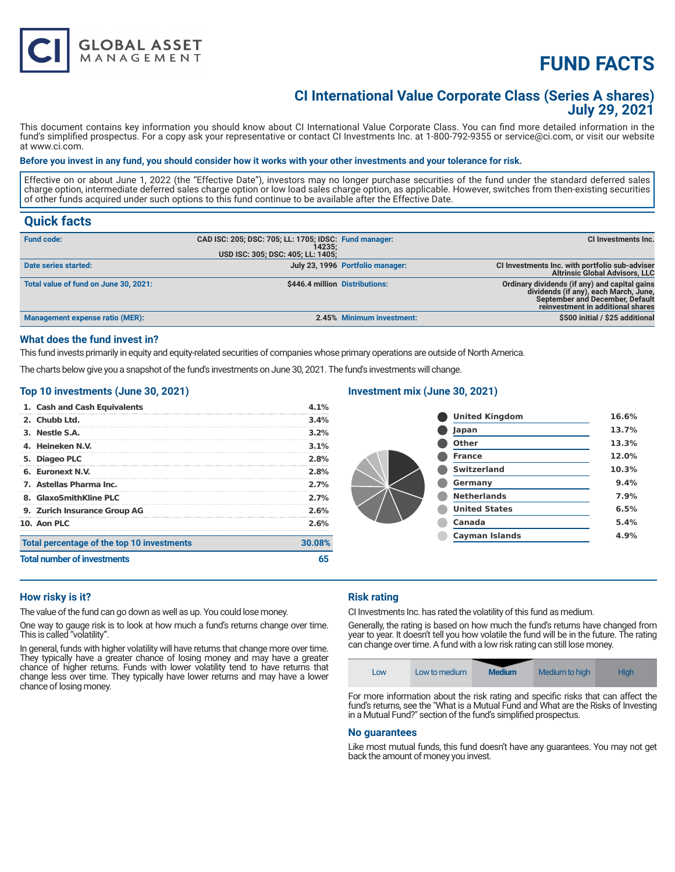# **FUND FACTS**

### **CI International Value Corporate Class (Series A shares) July 29, 2021**

This document contains key information you should know about CI International Value Corporate Class. You can find more detailed information in the fund's simplified prospectus. For a copy ask your representative or contact CI Investments Inc. at 1-800-792-9355 or service@ci.com, or visit our website at www.ci.com.

#### **Before you invest in any fund, you should consider how it works with your other investments and your tolerance for risk.**

Effective on or about June 1, 2022 (the "Effective Date"), investors may no longer purchase securities of the fund under the standard deferred sales charge option, intermediate deferred sales charge option or low load sales charge option, as applicable. However, switches from then-existing securities of other funds acquired under such options to this fund continue to be available after the Effective Date.

### **Quick facts**

| <b>Fund code:</b>                     | CAD ISC: 205; DSC: 705; LL: 1705; IDSC: Fund manager:<br>14235: |                                  | CI Investments Inc.                                                                                                                                                   |
|---------------------------------------|-----------------------------------------------------------------|----------------------------------|-----------------------------------------------------------------------------------------------------------------------------------------------------------------------|
|                                       | USD ISC: 305; DSC: 405; LL: 1405;                               |                                  |                                                                                                                                                                       |
| Date series started:                  |                                                                 | July 23, 1996 Portfolio manager: | CI Investments Inc. with portfolio sub-adviser<br><b>Altrinsic Global Advisors, LLC</b>                                                                               |
| Total value of fund on June 30, 2021: |                                                                 | \$446.4 million Distributions:   | Ordinary dividends (if any) and capital gains<br>dividends (if any), each March, June,<br><b>September and December, Default</b><br>reinvestment in additional shares |
| Management expense ratio (MER):       |                                                                 | 2.45% Minimum investment:        | \$500 initial / \$25 additional                                                                                                                                       |

#### **What does the fund invest in?**

This fund invests primarily in equity and equity-related securities of companies whose primary operations are outside of North America.

The charts below give you a snapshot of the fund's investments on June 30, 2021. The fund's investments will change.

#### **Top 10 investments (June 30, 2021)**

**GLOBAL ASSET**<br>MANAGEMENT

| 1. Cash and Cash Equivalents               | $4.1\%$ |
|--------------------------------------------|---------|
| 2. Chubb Ltd.                              | 3.4%    |
| 3. Nestle S.A.                             | $3.2\%$ |
| 4. Heineken N.V.                           | 3.1%    |
| 5. Diageo PLC                              | 2.8%    |
| 6. Euronext N.V.                           | 2.8%    |
| 7. Astellas Pharma Inc.                    | 2.7%    |
| 8. GlaxoSmithKline PLC                     | 2.7%    |
| 9. Zurich Insurance Group AG               | 2.6%    |
| 10. Aon PLC                                | 2.6%    |
| Total percentage of the top 10 investments | 30.08%  |
| <b>Total number of investments</b>         |         |

#### **Investment mix (June 30, 2021)**

| <b>United Kingdom</b> | 16.6% |
|-----------------------|-------|
| Japan                 | 13.7% |
| Other                 | 13.3% |
| <b>France</b>         | 12.0% |
| <b>Switzerland</b>    | 10.3% |
| Germany               | 9.4%  |
| <b>Netherlands</b>    | 7.9%  |
| <b>United States</b>  | 6.5%  |
| Canada                | 5.4%  |
| Cayman Islands        | 4.9%  |
|                       |       |

#### **How risky is it?**

The value of the fund can go down as well as up. You could lose money.

One way to gauge risk is to look at how much a fund's returns change over time. This is called "volatility".

In general, funds with higher volatility will have returns that change more over time. They typically have a greater chance of losing money and may have a greater chance of higher returns. Funds with lower volatility tend to have returns that change less over time. They typically have lower returns and may have a lower chance of losing money.

#### **Risk rating**

CI Investments Inc. has rated the volatility of this fund as medium.

Generally, the rating is based on how much the fund's returns have changed from year to year. It doesn't tell you how volatile the fund will be in the future. The rating can change over time. A fund with a low risk rating can still lose money.



For more information about the risk rating and specific risks that can affect the fund's returns, see the "What is a Mutual Fund and What are the Risks of Investing in a Mutual Fund?" section of the fund's simplified prospectus.

#### **No guarantees**

Like most mutual funds, this fund doesn't have any guarantees. You may not get back the amount of money you invest.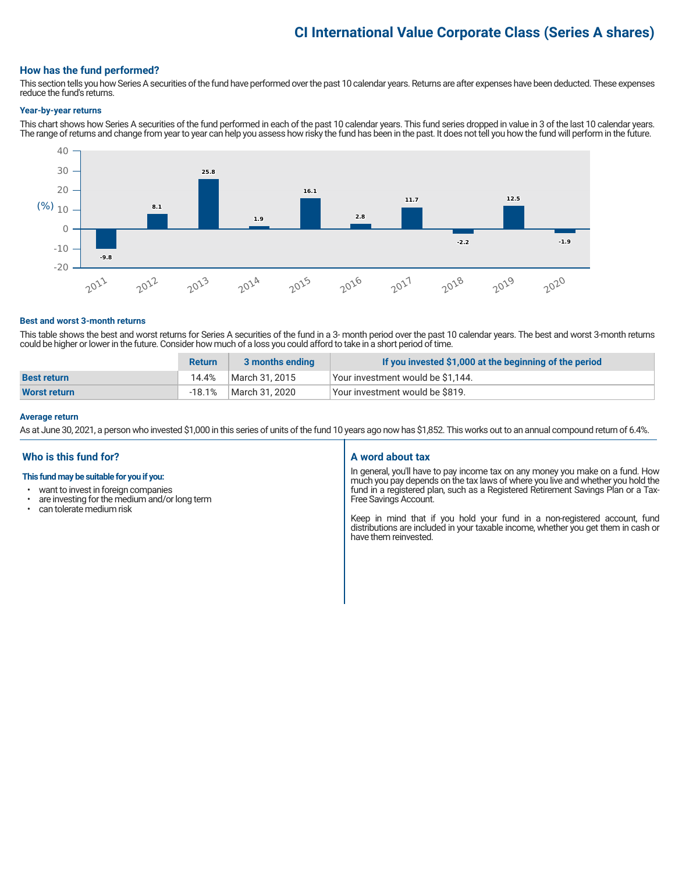# **CI International Value Corporate Class (Series A shares)**

#### **How has the fund performed?**

This section tells you how Series A securities of the fund have performed over the past 10 calendar years. Returns are after expenses have been deducted. These expenses reduce the fund's returns.

#### **Year-by-year returns**

This chart shows how Series A securities of the fund performed in each of the past 10 calendar years. This fund series dropped in value in 3 of the last 10 calendar years. The range of returns and change from year to year can help you assess how risky the fund has been in the past. It does not tell you how the fund will perform in the future.



#### **Best and worst 3-month returns**

This table shows the best and worst returns for Series A securities of the fund in a 3- month period over the past 10 calendar years. The best and worst 3-month returns could be higher or lower in the future. Consider how much of a loss you could afford to take in a short period of time.

|                     | <b>Return</b> | 3 months ending | If you invested \$1,000 at the beginning of the period |
|---------------------|---------------|-----------------|--------------------------------------------------------|
| <b>Best return</b>  | 14.4%         | March 31, 2015  | Your investment would be \$1,144.                      |
| <b>Worst return</b> | -18.1%        | March 31, 2020  | Your investment would be \$819.                        |

#### **Average return**

As at June 30, 2021, a person who invested \$1,000 in this series of units of the fund 10 years ago now has \$1,852. This works out to an annual compound return of 6.4%.

#### **Who is this fund for?**

#### **This fund may be suitable for you if you:**

- want to invest in foreign companies
- are investing for the medium and/or long term<br>• can telerate medium risk
- can tolerate medium risk

#### **A word about tax**

In general, you'll have to pay income tax on any money you make on a fund. How much you pay depends on the tax laws of where you live and whether you hold the fund in a registered plan, such as a Registered Retirement Savings Plan or a Tax-Free Savings Account.

Keep in mind that if you hold your fund in a non-registered account, fund distributions are included in your taxable income, whether you get them in cash or have them reinvested.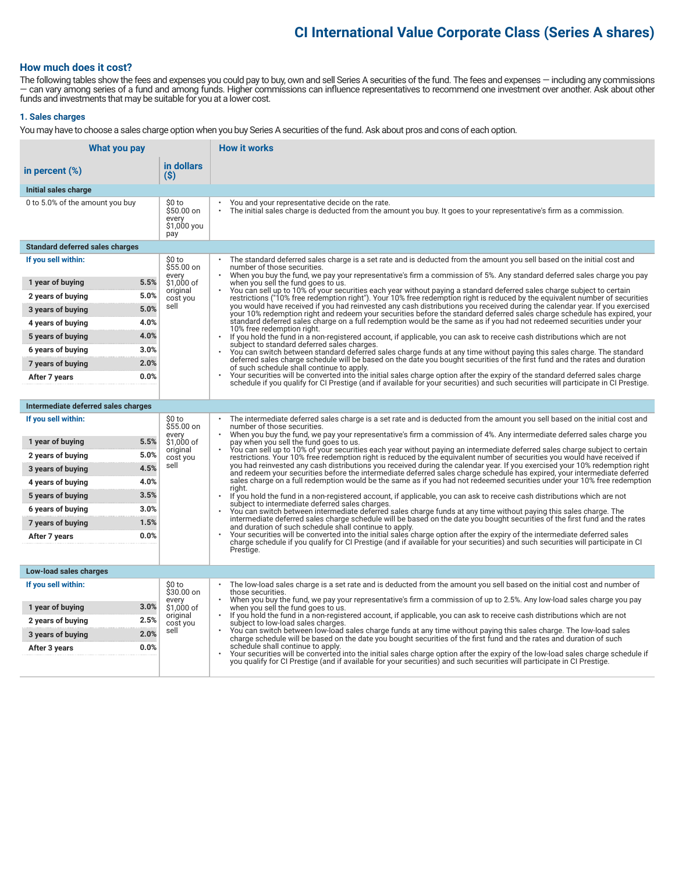## **CI International Value Corporate Class (Series A shares)**

#### **How much does it cost?**

The following tables show the fees and expenses you could pay to buy, own and sell Series A securities of the fund. The fees and expenses — including any commissions — can vary among series of a fund and among funds. Higher commissions can influence representatives to recommend one investment over another. Ask about other funds and investments that may be suitable for you at a lower cost.

#### **1. Sales charges**

You may have to choose a sales charge option when you buy Series A securities of the fund. Ask about pros and cons of each option.

| What you pay                                   |                                                     | <b>How it works</b>                                                                                                                                                                                                                                                                                                            |  |
|------------------------------------------------|-----------------------------------------------------|--------------------------------------------------------------------------------------------------------------------------------------------------------------------------------------------------------------------------------------------------------------------------------------------------------------------------------|--|
| in percent $(\%)$                              | in dollars<br>(S)                                   |                                                                                                                                                                                                                                                                                                                                |  |
| Initial sales charge                           |                                                     |                                                                                                                                                                                                                                                                                                                                |  |
| 0 to 5.0% of the amount you buy                | \$0 to<br>\$50.00 on<br>every<br>\$1,000 you<br>pay | You and your representative decide on the rate.<br>The initial sales charge is deducted from the amount you buy. It goes to your representative's firm as a commission.                                                                                                                                                        |  |
| <b>Standard deferred sales charges</b>         |                                                     |                                                                                                                                                                                                                                                                                                                                |  |
| If you sell within:                            | \$0 to<br>$$55.00$ on                               | The standard deferred sales charge is a set rate and is deducted from the amount you sell based on the initial cost and<br>number of those securities.                                                                                                                                                                         |  |
| 5.5%<br>1 year of buying                       | every<br>\$1,000 of                                 | When you buy the fund, we pay your representative's firm a commission of 5%. Any standard deferred sales charge you pay<br>when you sell the fund goes to us.                                                                                                                                                                  |  |
| 5.0%<br>2 years of buying                      | original<br>cost you                                | You can sell up to 10% of your securities each year without paying a standard deferred sales charge subject to certain<br>restrictions ("10% free redemption right"). Your 10% free redemption right is reduced by the equivalent number of securities                                                                         |  |
| 5.0%<br>3 years of buying                      | sell                                                | you would have received if you had reinvested any cash distributions you received during the calendar year. If you exercised<br>your 10% redemption right and redeem your securities before the standard deferred sales charge schedule has expired, your                                                                      |  |
| 4.0%<br>4 years of buying                      |                                                     | standard deferred sales charge on a full redemption would be the same as if you had not redeemed securities under your<br>10% free redemption right.                                                                                                                                                                           |  |
| 4.0%<br>5 years of buying                      |                                                     | If you hold the fund in a non-registered account, if applicable, you can ask to receive cash distributions which are not<br>subject to standard deferred sales charges.                                                                                                                                                        |  |
| 3.0%<br>6 years of buying                      |                                                     | You can switch between standard deferred sales charge funds at any time without paying this sales charge. The standard<br>deferred sales charge schedule will be based on the date you bought securities of the first fund and the rates and duration                                                                          |  |
| 2.0%<br>7 years of buying                      |                                                     | of such schedule shall continue to apply.                                                                                                                                                                                                                                                                                      |  |
| 0.0%<br>After 7 years                          |                                                     | Your securities will be converted into the initial sales charge option after the expiry of the standard deferred sales charge<br>schedule if you qualify for CI Prestige (and if available for your securities) and such securities will participate in CI Prestige.                                                           |  |
|                                                |                                                     |                                                                                                                                                                                                                                                                                                                                |  |
| Intermediate deferred sales charges            |                                                     |                                                                                                                                                                                                                                                                                                                                |  |
| If you sell within:                            | \$0 to<br>\$55.00 on<br>every                       | The intermediate deferred sales charge is a set rate and is deducted from the amount you sell based on the initial cost and<br>number of those securities.<br>When you buy the fund, we pay your representative's firm a commission of 4%. Any intermediate deferred sales charge you                                          |  |
| 5.5%<br>1 year of buying                       | \$1,000 of<br>original                              | pay when you sell the fund goes to us.<br>You can sell up to 10% of your securities each year without paying an intermediate deferred sales charge subject to certain                                                                                                                                                          |  |
| 5.0%<br>2 years of buying                      | cost you<br>sell                                    | restrictions. Your 10% free redemption right is reduced by the equivalent number of securities you would have received if<br>you had reinvested any cash distributions you received during the calendar year. If you exercised your 10% redemption right                                                                       |  |
| 4.5%<br>3 years of buying                      |                                                     | and redeem your securities before the intermediate deferred sales charge schedule has expired, your intermediate deferred<br>sales charge on a full redemption would be the same as if you had not redeemed securities under your 10% free redemption                                                                          |  |
| 4.0%<br>4 years of buying<br>3.5%              |                                                     | riaht.                                                                                                                                                                                                                                                                                                                         |  |
| 5 years of buying<br>3.0%<br>6 years of buying |                                                     | If you hold the fund in a non-registered account, if applicable, you can ask to receive cash distributions which are not<br>subject to intermediate deferred sales charges.                                                                                                                                                    |  |
| 1.5%<br>7 years of buying                      |                                                     | You can switch between intermediate deferred sales charge funds at any time without paying this sales charge. The<br>intermediate deferred sales charge schedule will be based on the date you bought securities of the first fund and the rates                                                                               |  |
| 0.0%<br>After 7 years                          |                                                     | and duration of such schedule shall continue to apply.<br>Your securities will be converted into the initial sales charge option after the expiry of the intermediate deferred sales                                                                                                                                           |  |
|                                                |                                                     | charge schedule if you qualify for CI Prestige (and if available for your securities) and such securities will participate in CI<br>Prestige.                                                                                                                                                                                  |  |
|                                                |                                                     |                                                                                                                                                                                                                                                                                                                                |  |
| Low-load sales charges                         |                                                     |                                                                                                                                                                                                                                                                                                                                |  |
| If you sell within:                            | \$0 to<br>\$30.00 on                                | The low-load sales charge is a set rate and is deducted from the amount you sell based on the initial cost and number of<br>those securities.                                                                                                                                                                                  |  |
| 3.0%<br>1 year of buying                       | every<br>\$1,000 of                                 | When you buy the fund, we pay your representative's firm a commission of up to 2.5%. Any low-load sales charge you pay<br>when you sell the fund goes to us.<br>If you hold the fund in a non-registered account, if applicable, you can ask to receive cash distributions which are not<br>subject to low-load sales charges. |  |
| 2.5%<br>2 years of buying                      | original<br>cost you                                |                                                                                                                                                                                                                                                                                                                                |  |
| 2.0%<br>3 years of buying                      | sell                                                | You can switch between low-load sales charge funds at any time without paying this sales charge. The low-load sales<br>charge schedule will be based on the date you bought securities of the first fund and the rates and duration of such                                                                                    |  |
| 0.0%<br>After 3 years                          |                                                     | schedule shall continue to apply.<br>Your securities will be converted into the initial sales charge option after the expiry of the low-load sales charge schedule if                                                                                                                                                          |  |
|                                                |                                                     | you qualify for CI Prestige (and if available for your securities) and such securities will participate in CI Prestige.                                                                                                                                                                                                        |  |